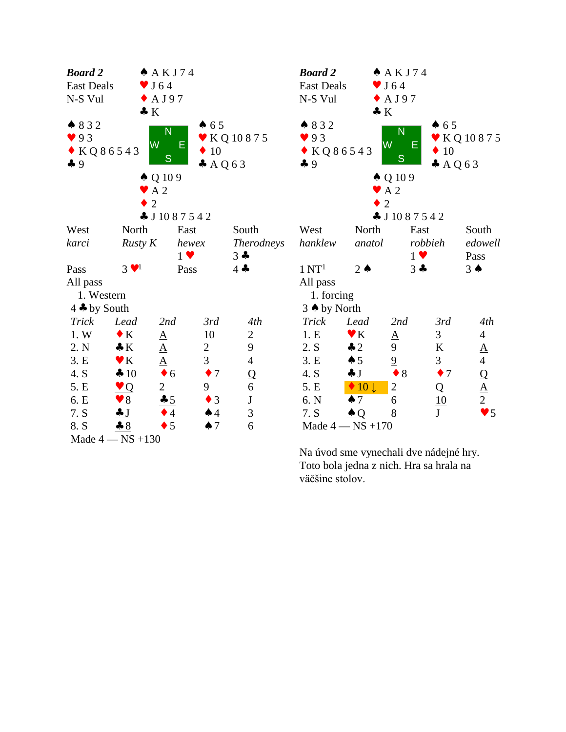| <b>Board 2</b>             |                           | $A$ AKJ74                  |                |                   | <b>Board 2</b>             |                           | $A$ AKJ74        |                  |                                 |  |  |
|----------------------------|---------------------------|----------------------------|----------------|-------------------|----------------------------|---------------------------|------------------|------------------|---------------------------------|--|--|
| <b>East Deals</b>          |                           | $\blacktriangledown$ J 64  |                |                   | <b>East Deals</b>          | $\blacktriangledown$ J 64 |                  |                  |                                 |  |  |
| N-S Vul                    |                           | $\triangle$ AJ97           |                |                   | N-S Vul                    |                           | $\triangle$ AJ97 |                  |                                 |  |  |
|                            | $\bullet K$               |                            |                |                   |                            | $\bullet K$               |                  |                  |                                 |  |  |
| 832                        |                           | N                          | 65             |                   | ↑ 832                      |                           | N                | 65               |                                 |  |  |
| 93                         | W                         |                            |                | ▼ KQ 10875        | 93                         | W                         |                  |                  | <b>▼ KQ10875</b>                |  |  |
| $\bullet$ KQ86543          |                           | Е                          | $\bullet$ 10   |                   | $\bullet$ KQ86543          |                           |                  | $\bullet$ 10     |                                 |  |  |
| 49                         |                           | S                          | $A$ Q63        |                   | 49                         |                           | S                | $A$ Q63          |                                 |  |  |
|                            |                           | $\triangle Q109$           |                |                   |                            |                           | $\triangle Q109$ |                  |                                 |  |  |
|                            | $\blacktriangleright$ A 2 |                            |                |                   | $\blacktriangleright$ A 2  |                           |                  |                  |                                 |  |  |
|                            | 2                         |                            |                |                   |                            | $\overline{2}$            |                  |                  |                                 |  |  |
|                            |                           | $\clubsuit$ J 10 8 7 5 4 2 |                |                   | $\clubsuit$ J 10 8 7 5 4 2 |                           |                  |                  |                                 |  |  |
| West                       | North                     | East                       |                | South             | West                       | North                     | East             |                  | South                           |  |  |
| karci                      | Rusty K                   | hewex                      |                | <i>Therodneys</i> | hanklew                    | anatol                    | robbieh          |                  | edowell                         |  |  |
|                            |                           | $1 \vee$                   |                | $3 -$             |                            |                           | $1 \vee$         |                  | Pass                            |  |  |
| Pass                       | $3 \vee 1$                | Pass                       |                | $4 -$             | $1 \mathrm{NT}^1$          | $2 \triangle$             | $3 +$            |                  | $3 \spadesuit$                  |  |  |
| All pass                   |                           |                            |                |                   | All pass                   |                           |                  |                  |                                 |  |  |
| 1. Western                 |                           |                            |                | 1. forcing        |                            |                           |                  |                  |                                 |  |  |
| $4 \triangleleft$ by South |                           |                            |                |                   | $3$ $\triangle$ by North   |                           |                  |                  |                                 |  |  |
| <b>Trick</b>               | Lead                      | 2nd                        | 3rd            | 4th               | Trick                      | Lead                      | 2nd              | 3rd              | 4th                             |  |  |
| 1.W                        | $\bullet K$               | $\underline{A}$            | 10             | $\overline{2}$    | 1.E                        | $\mathbf{V}$ K            | $\underline{A}$  | 3                | $\overline{4}$                  |  |  |
| 2. N                       | $\bullet K$               | $\underline{\mathbf{A}}$   | $\overline{2}$ | 9                 | 2. S                       | $\clubsuit$ 2             | 9                | K                | $\underline{A}$                 |  |  |
| 3.E                        | $\blacktriangledown K$    | $\underline{A}$            | 3              | $\overline{4}$    | 3.E                        | $\spadesuit$ 5            | $\overline{9}$   | 3                | $\overline{4}$                  |  |  |
| 4. S                       | 410                       | $\bullet$ 6                | $\bullet$ 7    | $\Omega$          | 4. S                       | $\clubsuit$ J             | $\bullet$ 8      | $\bullet$ 7      |                                 |  |  |
| 5. E                       | $\vee Q$                  | $\overline{2}$             | 9              | 6                 | 5. E                       | $\bullet$ 10 $\downarrow$ | $\sqrt{2}$       | Q                | $\frac{\mathsf{Q}}{\mathsf{A}}$ |  |  |
| 6. E                       | $\blacktriangledown 8$    | 45                         | $\bullet$ 3    | $\bf J$           | 6. N                       | $\spadesuit$ 7            | 6                | $\underline{10}$ |                                 |  |  |
| 7. S                       | J                         | $\bullet$ 4                | $\spadesuit$ 4 | $\mathfrak{Z}$    | 7. S                       | $\triangle Q$             | 8                | J                | $\bullet$ 5                     |  |  |
| 8. S                       | 8                         | $\bullet$ 5                | $\spadesuit$ 7 | 6                 |                            | Made $4 - NS + 170$       |                  |                  |                                 |  |  |
| Made $4 - NS + 130$        |                           |                            |                |                   |                            |                           |                  |                  |                                 |  |  |

Na úvod sme vynechali dve nádejné hry. Toto bola jedna z nich. Hra sa hrala na väčšine stolov.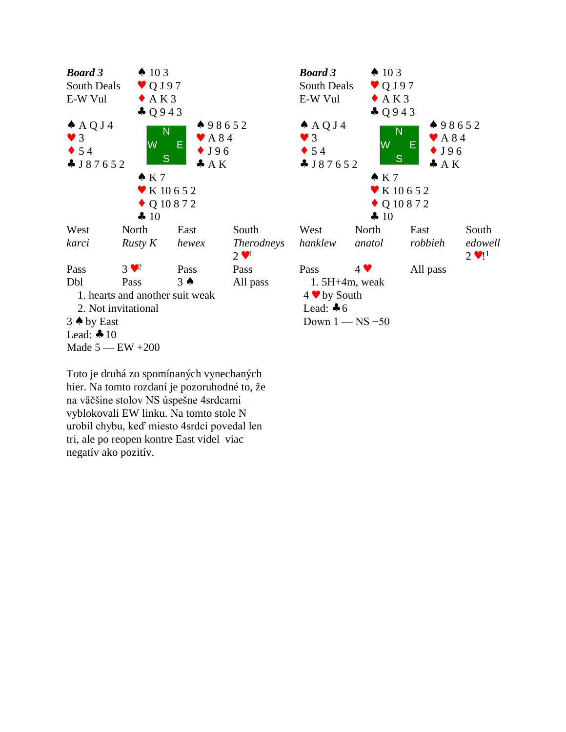

Toto je druhá zo spomínaných vynechaných hier. Na tomto rozdaní je pozoruhodné to, že na väčšine stolov NS úspešne 4srdcami vyblokovali EW linku. Na tomto stole N urobil chybu, keď miesto 4srdcí povedal len tri, ale po reopen kontre East videl viac negatív ako pozitív.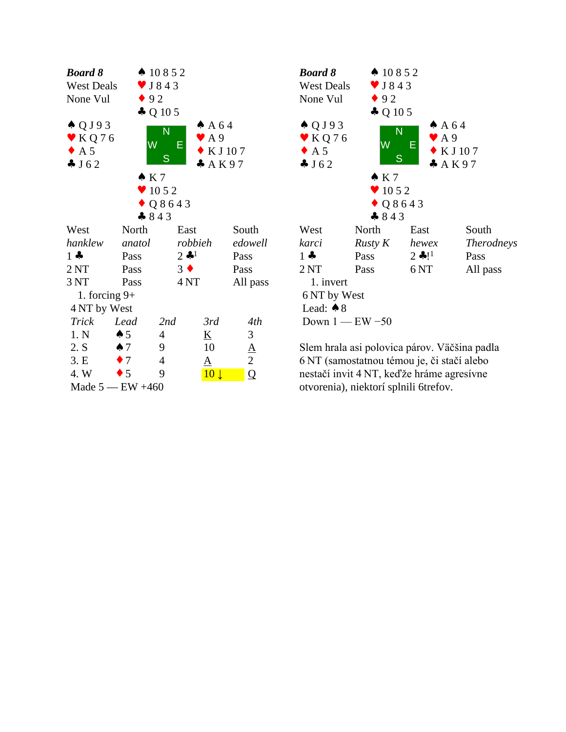| <b>Board 8</b>             |                | $\spadesuit$ 10852           |                 |                          |                 | Boo                                        |
|----------------------------|----------------|------------------------------|-----------------|--------------------------|-----------------|--------------------------------------------|
| <b>West Deals</b>          |                | $\blacktriangledown$ J 8 4 3 |                 |                          |                 | We                                         |
| None Vul                   | $\bullet$ 92   |                              |                 |                          |                 | N <sub>O1</sub>                            |
|                            |                | $\clubsuit$ Q 10 5           |                 |                          |                 |                                            |
| $\triangle Q$ J 9 3        |                |                              |                 | AA64                     |                 | ₩ (                                        |
| $\blacktriangleright$ KQ76 |                | N                            |                 | $\blacktriangleright$ A9 |                 |                                            |
| $\bullet$ A 5              |                | W                            | Е               | $\bullet$ KJ107          |                 | $\blacktriangleright$ $\blacktriangleleft$ |
| J62                        |                | S                            |                 | A K97                    |                 | $\clubsuit$ ]                              |
|                            | $\bullet K7$   |                              |                 |                          |                 |                                            |
|                            |                | $\bullet$ 1052               |                 |                          |                 |                                            |
|                            |                | $\bullet$ Q8643              |                 |                          |                 |                                            |
|                            |                | $-843$                       |                 |                          |                 |                                            |
| West                       | North          |                              | East            |                          | South           | We                                         |
| hanklew                    | anatol         | robbieh                      |                 |                          | edowell         | kar                                        |
| $1 -$                      | Pass           |                              | $2 \cdot 1$     |                          | Pass            | $1 -$                                      |
| 2NT                        | Pass           | $3 \bullet$                  |                 |                          | Pass            | 2N                                         |
| 3 NT                       | Pass           |                              | 4 <sub>NT</sub> |                          | All pass        | $\mathbf{1}$                               |
| 1. forcing $9+$            |                |                              |                 |                          |                 | 6 N                                        |
| 4 NT by West               |                |                              |                 |                          |                 | Le                                         |
| <b>Trick</b>               | Lead           | 2nd                          |                 | 3rd                      | 4th             | Dc                                         |
| 1. N                       | $\spadesuit 5$ | 4                            |                 | <u>K</u>                 | 3               |                                            |
| 2. S                       | $\spadesuit$ 7 | 9                            |                 | 10                       | $\underline{A}$ | Sle:                                       |
| 3.E                        | $\bullet$ 7    | $\overline{4}$               |                 | $\Delta$                 | $\overline{2}$  | 6N                                         |
| 4. W                       | $\bullet$ 5    | 9                            |                 | 10 <sup>1</sup>          | $\overline{Q}$  | nes                                        |
| Made $5$ — EW $+460$       |                |                              |                 |                          |                 | otv                                        |



Slem hrala asi polovica párov. Väčšina padla Lead:  $\bullet$  8<br>Down 1 — EW -50<br>Slem hrala asi polovica párov. Väčšina padla<br>6 NT (samostatnou témou je, či stačí alebo<br>nestačí invit 4 NT, keďže hráme agresívne<br>otvorenia), niektorí splnili 6trefov. otvorenia), niektorí splnili 6trefov.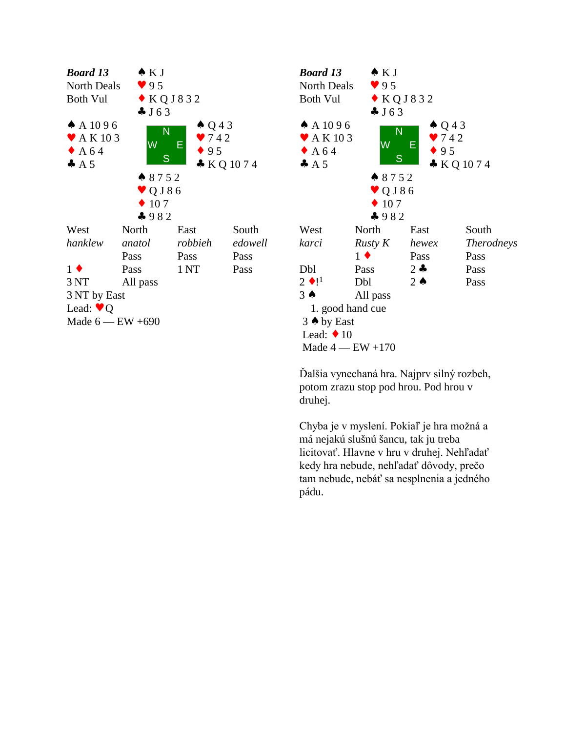



Ďalšia vynechaná hra. Najprv silný rozbeh, potom zrazu stop pod hrou. Pod hrou v druhej.

Chyba je v myslení. Pokiaľ je hra možná a má nejakú slušnú šancu, tak ju treba licitovať. Hlavne v hru v druhej. Nehľadať kedy hra nebude, nehľadať dôvody, prečo tam nebude, nebáť sa nesplnenia a jedného pádu.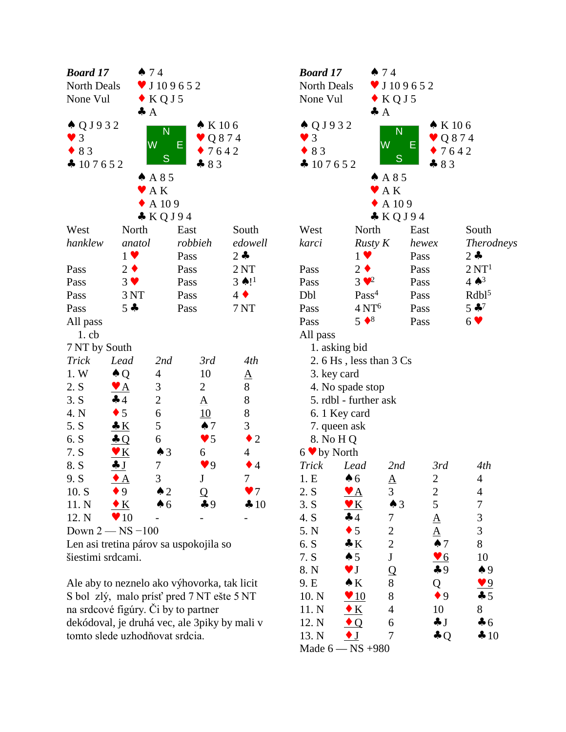| <b>Board 17</b>                          |                         | 474                      |                        |                      | Bo                                                                                                                                                                                                                                                                                                                  |  |  |
|------------------------------------------|-------------------------|--------------------------|------------------------|----------------------|---------------------------------------------------------------------------------------------------------------------------------------------------------------------------------------------------------------------------------------------------------------------------------------------------------------------|--|--|
| <b>North Deals</b>                       |                         | $\bullet$ J 109652       |                        |                      | N <sub>o</sub>                                                                                                                                                                                                                                                                                                      |  |  |
| $\bullet$ KQJ5<br>None Vul               |                         |                          |                        |                      |                                                                                                                                                                                                                                                                                                                     |  |  |
|                                          |                         | A                        |                        |                      |                                                                                                                                                                                                                                                                                                                     |  |  |
| $\triangle Q$ J 9 3 2                    |                         | $\overline{\mathsf{N}}$  | $\bullet$ K 106        |                      | ♠                                                                                                                                                                                                                                                                                                                   |  |  |
| $\bullet$ 3                              |                         |                          | $\bullet$ Q874         |                      |                                                                                                                                                                                                                                                                                                                     |  |  |
| W<br>Ε<br>$\bullet$ 83<br>$\bullet$ 7642 |                         |                          |                        |                      |                                                                                                                                                                                                                                                                                                                     |  |  |
| 4107652                                  |                         | S                        | $-83$                  |                      | $\bullet$                                                                                                                                                                                                                                                                                                           |  |  |
|                                          |                         | A85                      |                        |                      |                                                                                                                                                                                                                                                                                                                     |  |  |
|                                          |                         | $\blacktriangleright$ AK |                        |                      |                                                                                                                                                                                                                                                                                                                     |  |  |
|                                          |                         | A 109                    |                        |                      |                                                                                                                                                                                                                                                                                                                     |  |  |
|                                          |                         | $&$ KQJ94                |                        |                      |                                                                                                                                                                                                                                                                                                                     |  |  |
| West                                     | North                   |                          | East                   | South                | We                                                                                                                                                                                                                                                                                                                  |  |  |
| hanklew                                  | anatol                  |                          | robbieh                | edowell              | kar                                                                                                                                                                                                                                                                                                                 |  |  |
|                                          | $1 \vee$                |                          | Pass                   | $2 -$                |                                                                                                                                                                                                                                                                                                                     |  |  |
| Pass                                     | $2 \bullet$             |                          | Pass                   | 2NT                  | Pas                                                                                                                                                                                                                                                                                                                 |  |  |
| Pass                                     | $3 \vee$                |                          | Pass                   | $3 \spadesuit$ !     | Pas                                                                                                                                                                                                                                                                                                                 |  |  |
| 3 NT<br>Pass                             |                         |                          | Pass                   | $4 \blacklozenge$    | Db                                                                                                                                                                                                                                                                                                                  |  |  |
| $5 -$<br>Pass                            |                         |                          | Pass                   | 7 NT                 | Pas                                                                                                                                                                                                                                                                                                                 |  |  |
| All pass                                 |                         |                          |                        |                      | Pas                                                                                                                                                                                                                                                                                                                 |  |  |
| $1.$ cb                                  |                         |                          |                        |                      | All                                                                                                                                                                                                                                                                                                                 |  |  |
| 7 NT by South                            |                         |                          |                        |                      |                                                                                                                                                                                                                                                                                                                     |  |  |
| <b>Trick</b>                             | Lead                    | 2nd                      | 3rd                    | 4th                  |                                                                                                                                                                                                                                                                                                                     |  |  |
| 1. W                                     | $\triangle Q$           | 4                        | 10                     | $\underline{A}$      |                                                                                                                                                                                                                                                                                                                     |  |  |
| 2. S                                     | $\mathbf{A}$            | 3                        | $\overline{2}$         | 8                    |                                                                                                                                                                                                                                                                                                                     |  |  |
| 3. S                                     | 44                      | $\overline{c}$           | $\Delta$               | 8                    | $\frac{1}{2}$ $\frac{1}{2}$ $\frac{1}{2}$ $\frac{1}{2}$ $\frac{1}{2}$ $\frac{1}{2}$ $\frac{1}{2}$ $\frac{1}{2}$ $\frac{1}{2}$ $\frac{1}{2}$ $\frac{1}{2}$ $\frac{1}{2}$ $\frac{1}{2}$ $\frac{1}{2}$ $\frac{1}{2}$ $\frac{1}{2}$ $\frac{1}{2}$ $\frac{1}{2}$ $\frac{1}{2}$ $\frac{1}{2}$ $\frac{1}{2}$ $\frac{1}{2}$ |  |  |
| 4. N                                     | $\bullet$ 5             | 6                        | 10                     | 8                    |                                                                                                                                                                                                                                                                                                                     |  |  |
| 5. S                                     | K                       | 5                        | $\spadesuit$ 7         | 3                    |                                                                                                                                                                                                                                                                                                                     |  |  |
| 6. S                                     | $\triangle Q$           | 6                        | $\blacktriangledown$ 5 | $\bullet$ 2          | ş                                                                                                                                                                                                                                                                                                                   |  |  |
| 7. S                                     | $\mathbf{V}$ $K$        | $\spadesuit$ 3           | 6                      | $\overline{4}$       | 6 <sub>9</sub>                                                                                                                                                                                                                                                                                                      |  |  |
| 8. S                                     | $\clubsuit$ J           | 7                        | $\blacktriangledown$ 9 | $\bullet$ 4          | Tri                                                                                                                                                                                                                                                                                                                 |  |  |
| 9. S                                     | $\bullet$ A             | 3                        | J                      | $\overline{7}$       | 1.1                                                                                                                                                                                                                                                                                                                 |  |  |
| 10. S                                    | $\bullet$ 9             | $\triangle$ 2            | Q                      | $\blacktriangledown$ | 2.                                                                                                                                                                                                                                                                                                                  |  |  |
| 11. N                                    | $\bullet K$             | $\clubsuit$ 6            | $\clubsuit$ 9          | 410                  | 3.8                                                                                                                                                                                                                                                                                                                 |  |  |
| 12. N                                    | $\blacktriangledown 10$ |                          |                        |                      | 4.<br>5.1                                                                                                                                                                                                                                                                                                           |  |  |
| Down $2 - NS - 100$                      |                         |                          |                        |                      |                                                                                                                                                                                                                                                                                                                     |  |  |
| Len asi tretina párov sa uspokojila so   |                         |                          |                        |                      |                                                                                                                                                                                                                                                                                                                     |  |  |

| <b>Board 17</b><br>474                      |                                   |                                              |                                   | <b>Board 17</b><br>474                                                   |                                    |                          |                         |                    |  |  |
|---------------------------------------------|-----------------------------------|----------------------------------------------|-----------------------------------|--------------------------------------------------------------------------|------------------------------------|--------------------------|-------------------------|--------------------|--|--|
| North Deals                                 |                                   | $\bullet$ J 109652                           | North Deals<br>$\bullet$ J 109652 |                                                                          |                                    |                          |                         |                    |  |  |
| $\bullet$ KQJ5<br>None Vul                  |                                   |                                              |                                   | None Vul<br>$\bullet$ KQJ5                                               |                                    |                          |                         |                    |  |  |
|                                             | $\clubsuit$ A                     |                                              |                                   |                                                                          | $\clubsuit$ $A$                    |                          |                         |                    |  |  |
| $\triangle Q$ J 9 3 2                       |                                   | N                                            | $\bullet$ K 106                   | $\triangle Q$ J 9 3 2                                                    |                                    | N                        | $\bullet$ K 106         |                    |  |  |
| $\bullet$ 3                                 | W                                 | E                                            | $\vee$ Q874                       | $\bullet$ 3                                                              |                                    | W<br>E                   | $\vee$ Q874             |                    |  |  |
| $\bullet$ 83                                |                                   | 27642<br>S                                   | $\bullet$ 83<br>27642<br>S        |                                                                          |                                    |                          |                         |                    |  |  |
| $\clubsuit$ 107652                          |                                   | $-83$                                        |                                   | $\clubsuit$ 107652                                                       |                                    |                          | $-83$                   |                    |  |  |
|                                             | AA85                              |                                              |                                   | AA85<br>$\blacktriangleright$ AK<br>$\triangle$ A 109<br>$\bullet$ KQJ94 |                                    |                          |                         |                    |  |  |
|                                             | $\blacktriangleright$ AK          |                                              |                                   |                                                                          |                                    |                          |                         |                    |  |  |
|                                             | $\triangle$ A 109                 |                                              |                                   |                                                                          |                                    |                          |                         |                    |  |  |
|                                             |                                   | $\bullet$ KQJ94                              |                                   |                                                                          |                                    |                          |                         |                    |  |  |
| West                                        | North                             | East                                         | South                             | West                                                                     | North                              |                          | East                    | South              |  |  |
| hanklew                                     | anatol                            | robbieh                                      | edowell                           | karci                                                                    | $R$ usty $K$                       |                          | hewex                   | <i>Therodneys</i>  |  |  |
|                                             | $1 \vee$                          | Pass                                         | $2 \bullet$                       |                                                                          | $1 \vee$                           |                          | Pass                    | $2 -$              |  |  |
| Pass                                        | $2 \bullet$                       | Pass                                         | 2NT                               | Pass                                                                     | $2 \bullet$                        |                          | Pass                    | 2 N T <sup>1</sup> |  |  |
| Pass                                        | $3 \vee$                          | Pass                                         | $3 \spadesuit$ !                  | Pass                                                                     | $3 \cdot \cdot \cdot$ <sup>2</sup> |                          | Pass                    | $4 \spadesuit^3$   |  |  |
| Pass                                        | 3 NT                              | Pass                                         | $4 \bullet$                       | Dbl                                                                      | Pass <sup>4</sup>                  |                          | Pass                    | Rdb1 <sup>5</sup>  |  |  |
| Pass                                        | $5 -$                             | Pass                                         | 7NT                               | Pass                                                                     | 4 N T <sup>6</sup>                 |                          | Pass                    | $5 - 7$            |  |  |
| All pass                                    |                                   |                                              |                                   | Pass                                                                     | $5 \bullet 8$                      |                          | Pass                    | $6 \vee$           |  |  |
| $1.$ cb                                     |                                   |                                              |                                   | All pass                                                                 |                                    |                          |                         |                    |  |  |
| 7 NT by South                               |                                   |                                              |                                   |                                                                          | 1. asking bid                      |                          |                         |                    |  |  |
| Trick                                       | Lead                              | 2nd<br>3rd                                   | 4th                               |                                                                          | 2.6 Hs, less than 3 Cs             |                          |                         |                    |  |  |
| 1. W                                        | $\triangle Q$<br>$\overline{4}$   | 10                                           | $\underline{A}$                   | 3. key card                                                              |                                    |                          |                         |                    |  |  |
| 2. S                                        | $\mathfrak{Z}$<br><u>V A</u>      | $\overline{2}$                               | $8\,$                             | 4. No spade stop                                                         |                                    |                          |                         |                    |  |  |
| 3. S                                        | $\overline{c}$<br>44              | $\underline{A}$                              | $\,8\,$                           | 5. rdbl - further ask                                                    |                                    |                          |                         |                    |  |  |
| 4. N                                        | $\sqrt{6}$<br>$\bullet$ 5         | 10                                           | $\,8\,$                           | 6. 1 Key card                                                            |                                    |                          |                         |                    |  |  |
| 5. S                                        | $\mathfrak{S}$<br>$\frac{1}{2}$ K | $\spadesuit$ 7                               | 3                                 |                                                                          | 7. queen ask                       |                          |                         |                    |  |  |
| 6. S                                        | 6<br>$\triangle Q$                | $\blacktriangledown$ 5                       | $\bullet$ 2                       | 8. No H Q                                                                |                                    |                          |                         |                    |  |  |
| 7. S                                        | $\underline{\mathbf{v}}$ K        | $\triangle$ 3<br>6                           | 4                                 | $6 \vee by North$                                                        |                                    |                          |                         |                    |  |  |
| 8. S                                        | $\boldsymbol{7}$<br>J             | 9 <sup>q</sup>                               | $\bullet$ 4                       | Trick                                                                    | Lead                               | 2nd                      | 3rd                     | 4th                |  |  |
| 9. S                                        | 3<br>$\bullet$ A                  | $\bf J$                                      | $\boldsymbol{7}$                  | 1.E                                                                      | $\clubsuit$ 6                      | $\mathbf{\underline{A}}$ | $\overline{2}$          | $\overline{4}$     |  |  |
| 10. S                                       | $\bullet$ 9                       | $\triangle$ 2<br>$\Omega$                    | $\bullet$ 7                       | 2. S                                                                     | <u>V A</u>                         | 3                        | 2                       | 4                  |  |  |
| 11. N                                       | $\bullet K$                       | 49<br>$\clubsuit$ 6                          | 410                               | 3. S                                                                     | $\mathbf{v} \mathbf{K}$            | $\spadesuit 3$           | 5                       | 7                  |  |  |
| 12. N                                       | $\blacktriangledown 10$           |                                              |                                   | 4. S                                                                     | 44                                 | 7                        | $\underline{A}$         | 3                  |  |  |
|                                             | Down $2 - NS - 100$               |                                              |                                   | 5. N                                                                     | $\bullet$ 5                        | $\overline{c}$           | $\underline{A}$         | 3                  |  |  |
| Len asi tretina párov sa uspokojila so      |                                   |                                              |                                   | 6. S                                                                     | K                                  | $\overline{c}$           | $\spadesuit$ 7          | 8                  |  |  |
| šiestimi srdcami.                           |                                   |                                              |                                   | 7. S                                                                     | $\spadesuit 5$                     | ${\bf J}$                | $\underline{\bullet 6}$ | 10                 |  |  |
|                                             |                                   |                                              |                                   | 8. N                                                                     | $\vee$ J                           | Q                        | $\clubsuit$ 9           | $\clubsuit$ 9      |  |  |
| Ale aby to neznelo ako výhovorka, tak licit |                                   |                                              |                                   | 9. E                                                                     | $\bullet K$                        | 8                        | Q                       | $\bullet 9$        |  |  |
|                                             |                                   | S bol zlý, malo prísť pred 7 NT ešte 5 NT    | 10. N                             | $\sqrt{10}$                                                              | 8                                  | $\bullet$ 9              | $-5$                    |                    |  |  |
|                                             |                                   | na srdcové figúry. Či by to partner          | 11. N                             | $\bullet K$                                                              | 4                                  | 10                       | 8                       |                    |  |  |
|                                             |                                   | dekódoval, je druhá vec, ale 3piky by mali v |                                   | 12. N                                                                    | $\bullet$ Q                        | 6                        | $\clubsuit$ J           | $\clubsuit$ 6      |  |  |
|                                             | tomto slede uzhodňovat srdcia.    |                                              |                                   | 13. N                                                                    | $\bullet$ J                        | 7                        | $\clubsuit Q$           | $\clubsuit 10$     |  |  |
|                                             |                                   |                                              |                                   |                                                                          | Made 6 - NS + 980                  |                          |                         |                    |  |  |